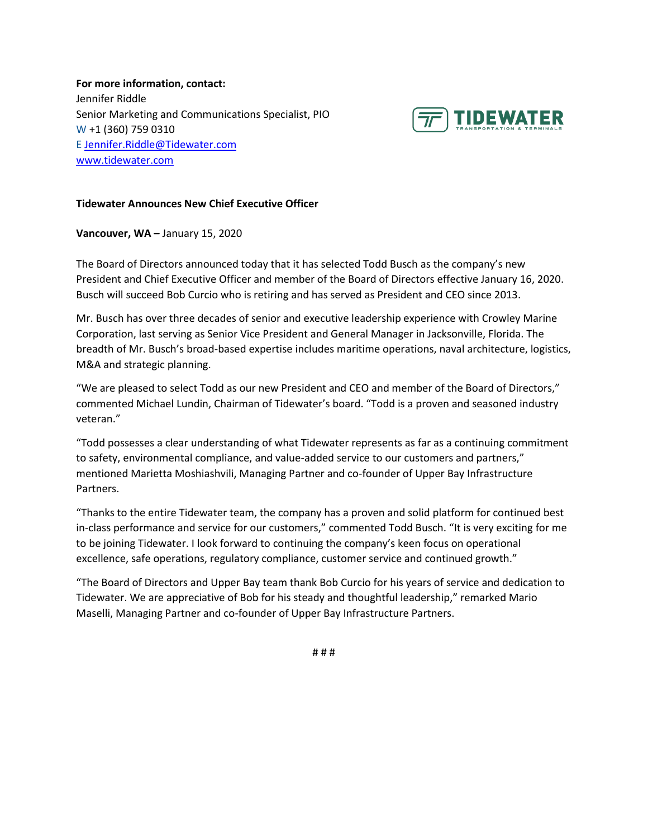**For more information, contact:** Jennifer Riddle Senior Marketing and Communications Specialist, PIO W +1 (360) 759 0310 E [Jennifer.Riddle@Tidewater.com](mailto:Jennifer.Riddle@Tidewater.com) [www.tidewater.com](http://www.tidewater.com/)



## **Tidewater Announces New Chief Executive Officer**

**Vancouver, WA –** January 15, 2020

The Board of Directors announced today that it has selected Todd Busch as the company's new President and Chief Executive Officer and member of the Board of Directors effective January 16, 2020. Busch will succeed Bob Curcio who is retiring and has served as President and CEO since 2013.

Mr. Busch has over three decades of senior and executive leadership experience with Crowley Marine Corporation, last serving as Senior Vice President and General Manager in Jacksonville, Florida. The breadth of Mr. Busch's broad-based expertise includes maritime operations, naval architecture, logistics, M&A and strategic planning.

"We are pleased to select Todd as our new President and CEO and member of the Board of Directors," commented Michael Lundin, Chairman of Tidewater's board. "Todd is a proven and seasoned industry veteran."

"Todd possesses a clear understanding of what Tidewater represents as far as a continuing commitment to safety, environmental compliance, and value-added service to our customers and partners," mentioned Marietta Moshiashvili, Managing Partner and co-founder of Upper Bay Infrastructure Partners.

"Thanks to the entire Tidewater team, the company has a proven and solid platform for continued best in-class performance and service for our customers," commented Todd Busch. "It is very exciting for me to be joining Tidewater. I look forward to continuing the company's keen focus on operational excellence, safe operations, regulatory compliance, customer service and continued growth."

"The Board of Directors and Upper Bay team thank Bob Curcio for his years of service and dedication to Tidewater. We are appreciative of Bob for his steady and thoughtful leadership," remarked Mario Maselli, Managing Partner and co-founder of Upper Bay Infrastructure Partners.

# # #